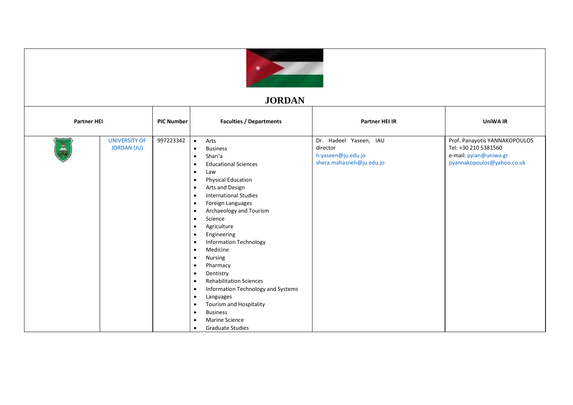

## **JORDAN**

| <b>Partner HEI</b> |                                            | <b>PIC Number</b> | <b>Faculties / Departments</b>                                                                                                                                                                                                                                                                                                                                                                                                                                                                                                                                                                                                                                                                                                                                                                                                                          | <b>Partner HEI IR</b>                                                                | <b>UniWA IR</b>                                                                                               |
|--------------------|--------------------------------------------|-------------------|---------------------------------------------------------------------------------------------------------------------------------------------------------------------------------------------------------------------------------------------------------------------------------------------------------------------------------------------------------------------------------------------------------------------------------------------------------------------------------------------------------------------------------------------------------------------------------------------------------------------------------------------------------------------------------------------------------------------------------------------------------------------------------------------------------------------------------------------------------|--------------------------------------------------------------------------------------|---------------------------------------------------------------------------------------------------------------|
| $\frac{8}{4}$      | <b>UNIVERSITY OF</b><br><b>JORDAN (JU)</b> | 997223342         | Arts<br>$\bullet$<br><b>Business</b><br>$\bullet$<br>Shari'a<br>$\bullet$<br><b>Educational Sciences</b><br>$\bullet$<br>Law<br>$\bullet$<br><b>Physical Education</b><br>$\bullet$<br>Arts and Design<br>$\bullet$<br><b>International Studies</b><br>$\bullet$<br>Foreign Languages<br>$\bullet$<br>Archaeology and Tourism<br>$\bullet$<br>Science<br>$\bullet$<br>Agriculture<br>$\bullet$<br>Engineering<br>$\bullet$<br><b>Information Technology</b><br>$\bullet$<br>Medicine<br>$\bullet$<br>Nursing<br>$\bullet$<br>Pharmacy<br>$\bullet$<br>Dentistry<br>$\bullet$<br><b>Rehabilitation Sciences</b><br>$\bullet$<br>Information Technology and Systems<br>$\bullet$<br>Languages<br>$\bullet$<br>Tourism and Hospitality<br>$\bullet$<br><b>Business</b><br>$\bullet$<br>Marine Science<br>$\bullet$<br><b>Graduate Studies</b><br>$\bullet$ | Dr. Hadeel Yaseen, IAU<br>director<br>h.yaseen@ju.edu.jo<br>shera.mahasneh@ju.edu.jo | Prof. Panayotis YANNAKOPOULOS<br>Tel: +30 210 5381560<br>e-mail: pyian@uniwa.gr<br>pyannakopoulos@yahoo.co.uk |